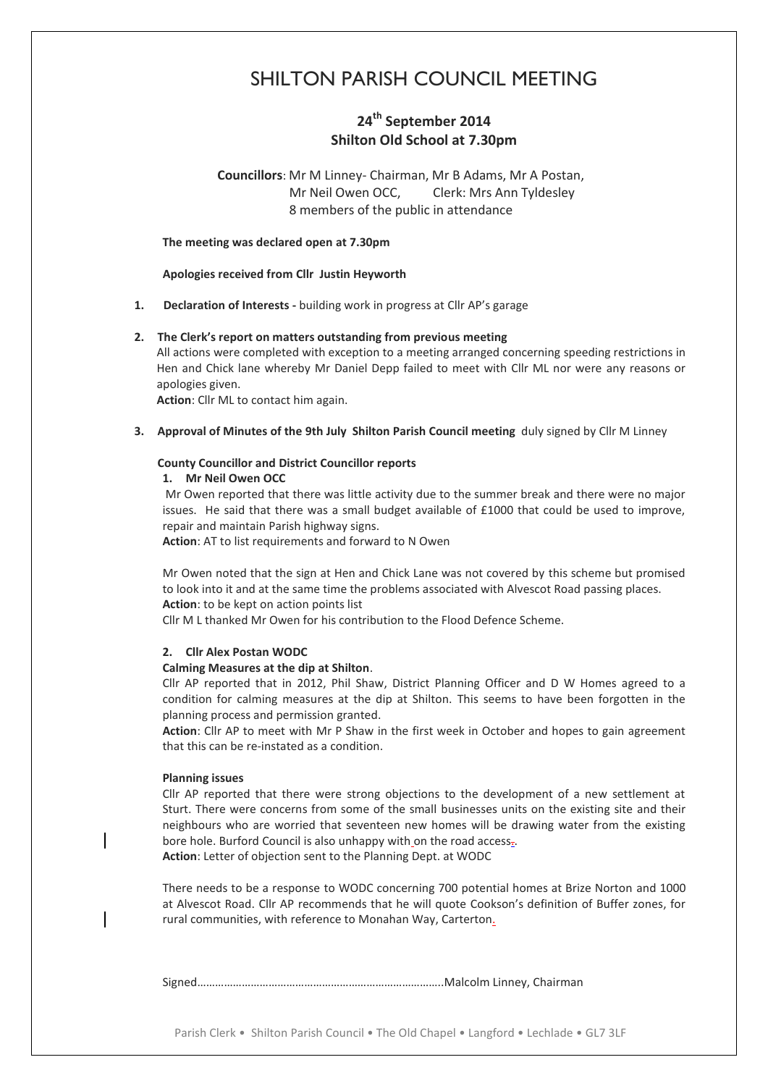# SHILTON PARISH COUNCIL MEETING

# **24th September 2014 Shilton Old School at 7.30pm**

**Councillors**: Mr M Linney- Chairman, Mr B Adams, Mr A Postan, Mr Neil Owen OCC, Clerk: Mrs Ann Tyldesley 8 members of the public in attendance

**The meeting was declared open at 7.30pm**

#### **Apologies received from Cllr Justin Heyworth**

**1. Declaration of Interests -** building work in progress at Cllr AP's garage

# **2. The Clerk's report on matters outstanding from previous meeting**

All actions were completed with exception to a meeting arranged concerning speeding restrictions in Hen and Chick lane whereby Mr Daniel Depp failed to meet with Cllr ML nor were any reasons or apologies given.

**Action**: Cllr ML to contact him again.

**3. Approval of Minutes of the 9th July Shilton Parish Council meeting** duly signed by Cllr M Linney

#### **County Councillor and District Councillor reports**

#### **1. Mr Neil Owen OCC**

Mr Owen reported that there was little activity due to the summer break and there were no major issues. He said that there was a small budget available of £1000 that could be used to improve, repair and maintain Parish highway signs.

**Action**: AT to list requirements and forward to N Owen

Mr Owen noted that the sign at Hen and Chick Lane was not covered by this scheme but promised to look into it and at the same time the problems associated with Alvescot Road passing places. **Action**: to be kept on action points list

Cllr M L thanked Mr Owen for his contribution to the Flood Defence Scheme.

#### **2. Cllr Alex Postan WODC**

#### **Calming Measures at the dip at Shilton**.

Cllr AP reported that in 2012, Phil Shaw, District Planning Officer and D W Homes agreed to a condition for calming measures at the dip at Shilton. This seems to have been forgotten in the planning process and permission granted.

**Action**: Cllr AP to meet with Mr P Shaw in the first week in October and hopes to gain agreement that this can be re-instated as a condition.

#### **Planning issues**

Cllr AP reported that there were strong objections to the development of a new settlement at Sturt. There were concerns from some of the small businesses units on the existing site and their neighbours who are worried that seventeen new homes will be drawing water from the existing bore hole. Burford Council is also unhappy with on the road access.

**Action**: Letter of objection sent to the Planning Dept. at WODC

There needs to be a response to WODC concerning 700 potential homes at Brize Norton and 1000 at Alvescot Road. Cllr AP recommends that he will quote Cookson's definition of Buffer zones, for rural communities, with reference to Monahan Way, Carterton.

Signed………………………………………………………………………..Malcolm Linney, Chairman